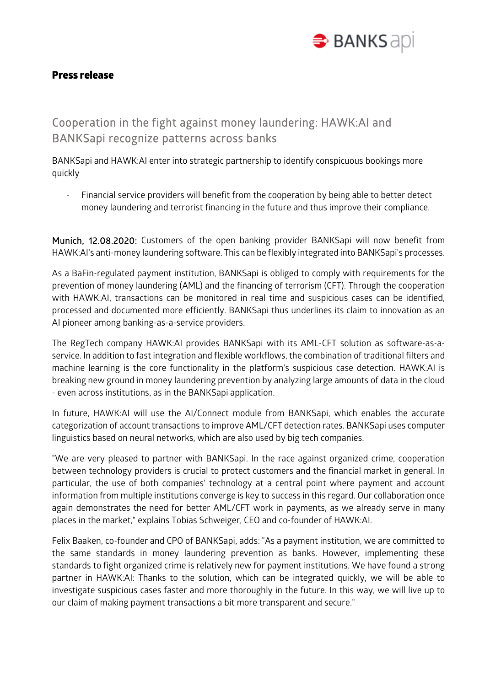

## Press release

## Cooperation in the fight against money laundering: HAWK:AI and BANKSapi recognize patterns across banks

BANKSapi and HAWK:AI enter into strategic partnership to identify conspicuous bookings more quickly

Financial service providers will benefit from the cooperation by being able to better detect money laundering and terrorist financing in the future and thus improve their compliance.

Munich, 12.08.2020: Customers of the open banking provider BANKSapi will now benefit from HAWK:AI's anti-money laundering software. This can be flexibly integrated into BANKSapi's processes.

As a BaFin-regulated payment institution, BANKSapi is obliged to comply with requirements for the prevention of money laundering (AML) and the financing of terrorism (CFT). Through the cooperation with HAWK:AI, transactions can be monitored in real time and suspicious cases can be identified, processed and documented more efficiently. BANKSapi thus underlines its claim to innovation as an AI pioneer among banking-as-a-service providers.

The RegTech company HAWK:AI provides BANKSapi with its AML-CFT solution as software-as-aservice. In addition to fast integration and flexible workflows, the combination of traditional filters and machine learning is the core functionality in the platform's suspicious case detection. HAWK:AI is breaking new ground in money laundering prevention by analyzing large amounts of data in the cloud - even across institutions, as in the BANKSapi application.

In future, HAWK:AI will use the AI/Connect module from BANKSapi, which enables the accurate categorization of account transactions to improve AML/CFT detection rates. BANKSapi uses computer linguistics based on neural networks, which are also used by big tech companies.

"We are very pleased to partner with BANKSapi. In the race against organized crime, cooperation between technology providers is crucial to protect customers and the financial market in general. In particular, the use of both companies' technology at a central point where payment and account information from multiple institutions converge is key to success in this regard. Our collaboration once again demonstrates the need for better AML/CFT work in payments, as we already serve in many places in the market," explains Tobias Schweiger, CEO and co-founder of HAWK:AI.

Felix Baaken, co-founder and CPO of BANKSapi, adds: "As a payment institution, we are committed to the same standards in money laundering prevention as banks. However, implementing these standards to fight organized crime is relatively new for payment institutions. We have found a strong partner in HAWK:AI: Thanks to the solution, which can be integrated quickly, we will be able to investigate suspicious cases faster and more thoroughly in the future. In this way, we will live up to our claim of making payment transactions a bit more transparent and secure."